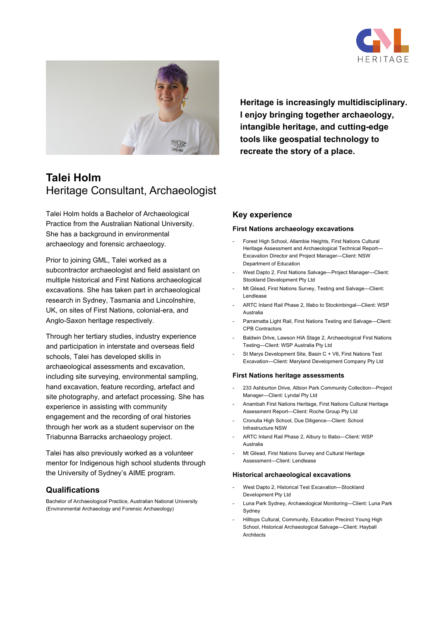



# **Talei Holm** Heritage Consultant, Archaeologist

Talei Holm holds a Bachelor of Archaeological Practice from the Australian National University. She has a background in environmental archaeology and forensic archaeology.

Prior to joining GML, Talei worked as a subcontractor archaeologist and field assistant on multiple historical and First Nations archaeological excavations. She has taken part in archaeological research in Sydney, Tasmania and Lincolnshire, UK, on sites of First Nations, colonial-era, and Anglo-Saxon heritage respectively.

Through her tertiary studies, industry experience and participation in interstate and overseas field schools, Talei has developed skills in archaeological assessments and excavation, including site surveying, environmental sampling, hand excavation, feature recording, artefact and site photography, and artefact processing. She has experience in assisting with community engagement and the recording of oral histories through her work as a student supervisor on the Triabunna Barracks archaeology project.

Talei has also previously worked as a volunteer mentor for Indigenous high school students through the University of Sydney's AIME program.

## **Qualifications**

Bachelor of Archaeological Practice, Australian National University (Environmental Archaeology and Forensic Archaeology)

**Heritage is increasingly multidisciplinary. I enjoy bringing together archaeology, intangible heritage, and cutting-edge tools like geospatial technology to recreate the story of a place.**

## **Key experience**

#### **First Nations archaeology excavations**

- Forest High School, Allambie Heights, First Nations Cultural Heritage Assessment and Archaeological Technical Report— Excavation Director and Project Manager—Client: NSW Department of Education
- West Dapto 2, First Nations Salvage-Project Manager-Client: Stockland Development Pty Ltd
- Mt Gilead, First Nations Survey, Testing and Salvage-Client: Lendlease
- ARTC Inland Rail Phase 2, Illabo to Stockinbingal-Client: WSP Australia
- Parramatta Light Rail, First Nations Testing and Salvage-Client: CPB Contractors
- Baldwin Drive, Lawson HIA Stage 2, Archaeological First Nations Testing—Client: WSP Australia Pty Ltd
- St Marys Development Site, Basin C + V6, First Nations Test Excavation—Client: Maryland Development Company Pty Ltd

#### **First Nations heritage assessments**

- 233 Ashburton Drive, Albion Park Community Collection--Project Manager—Client: Lyndal Pty Ltd
- Anambah First Nations Heritage, First Nations Cultural Heritage Assessment Report—Client: Roche Group Pty Ltd
- Cronulla High School, Due Diligence—Client: School Infrastructure NSW
- ARTC Inland Rail Phase 2, Albury to Illabo-Client: WSP Australia
- Mt Gilead, First Nations Survey and Cultural Heritage Assessment—Client: Lendlease

#### **Historical archaeological excavations**

- West Dapto 2, Historical Test Excavation-Stockland Development Pty Ltd
- Luna Park Sydney, Archaeological Monitoring-Client: Luna Park Sydney
- Hilltops Cultural, Community, Education Precinct Young High School, Historical Archaeological Salvage—Client: Hayball **Architects**